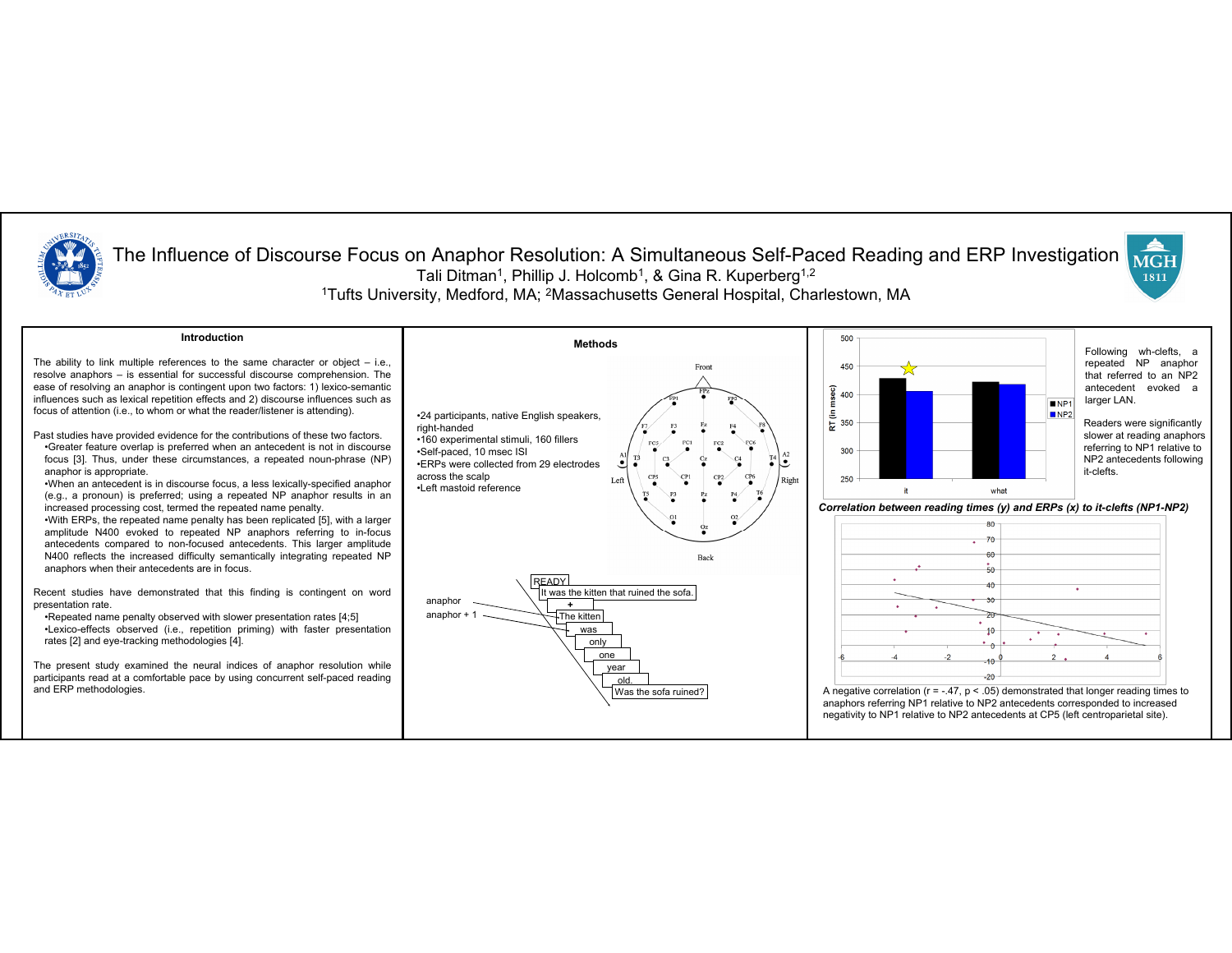

## The Influence of Discourse Focus on Anaphor Resolution: A Simultaneous Self-Paced Reading and ERP Investigation **MGH** Tali Ditman<sup>1</sup>, Phillip J. Holcomb<sup>1</sup>, & Gina R. Kuperberg<sup>1,2</sup> 1811 1Tufts University, Medford, MA; 2Massachusetts General Hospital, Charlestown, MA